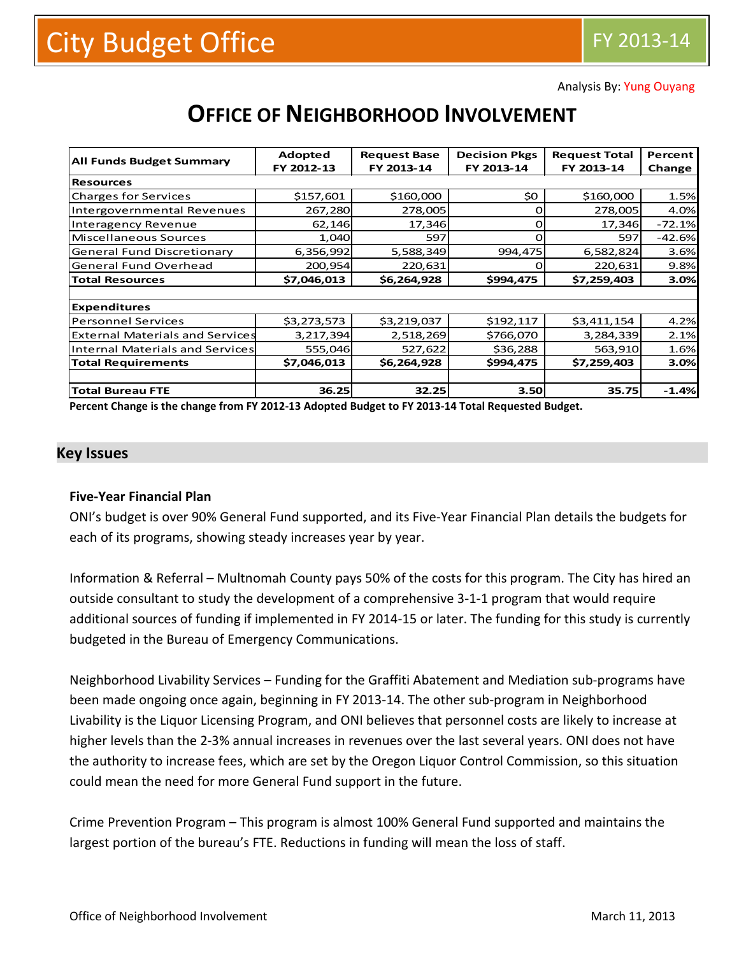Analysis By: Yung Ouyang

|                                        | Adopted     | <b>Request Base</b> | <b>Decision Pkgs</b> | <b>Request Total</b> | Percent  |  |  |  |
|----------------------------------------|-------------|---------------------|----------------------|----------------------|----------|--|--|--|
| <b>All Funds Budget Summary</b>        | FY 2012-13  | FY 2013-14          | FY 2013-14           | FY 2013-14           | Change   |  |  |  |
| <b>Resources</b>                       |             |                     |                      |                      |          |  |  |  |
| <b>Charges for Services</b>            | \$157,601   | \$160,000           | \$0                  | \$160,000            | 1.5%     |  |  |  |
| Intergovernmental Revenues             | 267,280     | 278,005             | Ο                    | 278,005              | 4.0%     |  |  |  |
| <b>Interagency Revenue</b>             | 62,146      | 17,346              | Ω                    | 17,346               | $-72.1%$ |  |  |  |
| Miscellaneous Sources                  | 1,040       | 597                 | О                    | 597                  | $-42.6%$ |  |  |  |
| <b>General Fund Discretionary</b>      | 6,356,992   | 5,588,349           | 994,475              | 6,582,824            | 3.6%     |  |  |  |
| <b>General Fund Overhead</b>           | 200,954     | 220,631             |                      | 220,631              | 9.8%     |  |  |  |
| <b>Total Resources</b>                 | \$7,046,013 | \$6,264,928         | \$994,475            | \$7,259,403          | 3.0%     |  |  |  |
|                                        |             |                     |                      |                      |          |  |  |  |
| <b>Expenditures</b>                    |             |                     |                      |                      |          |  |  |  |
| <b>Personnel Services</b>              | \$3,273,573 | \$3,219,037         | \$192,117            | \$3,411,154          | 4.2%     |  |  |  |
| <b>External Materials and Services</b> | 3,217,394   | 2,518,269           | \$766,070            | 3,284,339            | 2.1%     |  |  |  |
| Internal Materials and Services        | 555,046     | 527,622             | \$36,288             | 563,910              | 1.6%     |  |  |  |
| <b>Total Requirements</b>              | \$7,046,013 | \$6,264,928         | \$994,475            | \$7,259,403          | 3.0%     |  |  |  |
|                                        |             |                     |                      |                      |          |  |  |  |
| <b>Total Bureau FTE</b>                | 36.25       | 32.25               | 3.50                 | 35.75                | $-1.4%$  |  |  |  |

# **OFFICE OF NEIGHBORHOOD INVOLVEMENT**

**Percent Change is the change from FY 2012-13 Adopted Budget to FY 2013-14 Total Requested Budget.**

#### **Key Issues**

#### **Five-Year Financial Plan**

ONI's budget is over 90% General Fund supported, and its Five-Year Financial Plan details the budgets for each of its programs, showing steady increases year by year.

Information & Referral – Multnomah County pays 50% of the costs for this program. The City has hired an outside consultant to study the development of a comprehensive 3-1-1 program that would require additional sources of funding if implemented in FY 2014-15 or later. The funding for this study is currently budgeted in the Bureau of Emergency Communications.

Neighborhood Livability Services – Funding for the Graffiti Abatement and Mediation sub-programs have been made ongoing once again, beginning in FY 2013-14. The other sub-program in Neighborhood Livability is the Liquor Licensing Program, and ONI believes that personnel costs are likely to increase at higher levels than the 2-3% annual increases in revenues over the last several years. ONI does not have the authority to increase fees, which are set by the Oregon Liquor Control Commission, so this situation could mean the need for more General Fund support in the future.

Crime Prevention Program – This program is almost 100% General Fund supported and maintains the largest portion of the bureau's FTE. Reductions in funding will mean the loss of staff.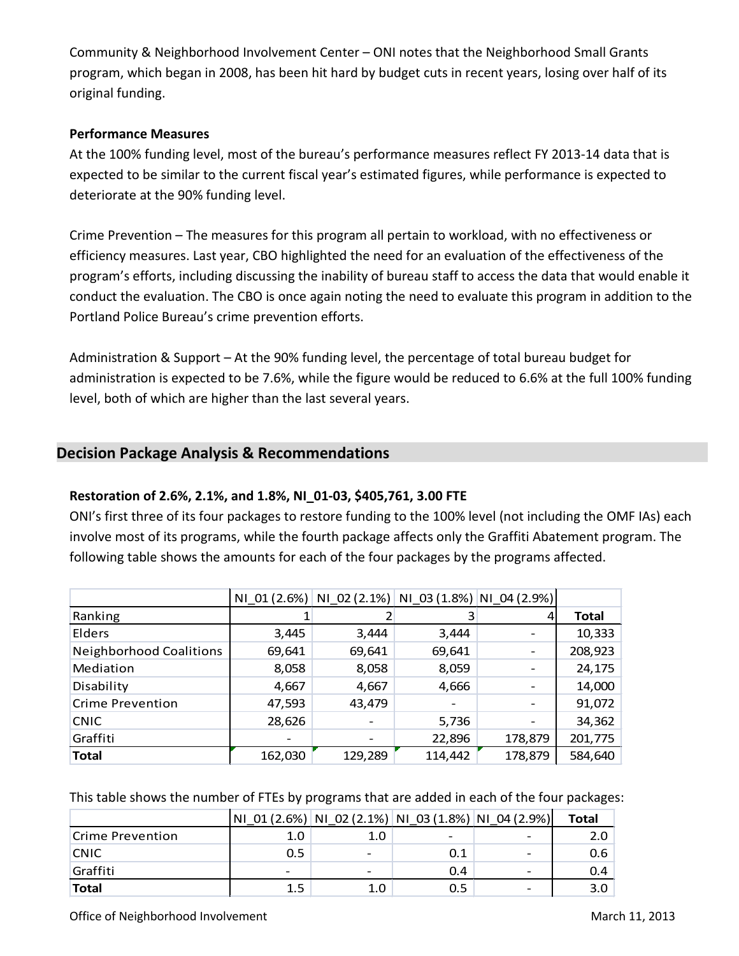Community & Neighborhood Involvement Center – ONI notes that the Neighborhood Small Grants program, which began in 2008, has been hit hard by budget cuts in recent years, losing over half of its original funding.

#### **Performance Measures**

At the 100% funding level, most of the bureau's performance measures reflect FY 2013-14 data that is expected to be similar to the current fiscal year's estimated figures, while performance is expected to deteriorate at the 90% funding level.

Crime Prevention – The measures for this program all pertain to workload, with no effectiveness or efficiency measures. Last year, CBO highlighted the need for an evaluation of the effectiveness of the program's efforts, including discussing the inability of bureau staff to access the data that would enable it conduct the evaluation. The CBO is once again noting the need to evaluate this program in addition to the Portland Police Bureau's crime prevention efforts.

Administration & Support – At the 90% funding level, the percentage of total bureau budget for administration is expected to be 7.6%, while the figure would be reduced to 6.6% at the full 100% funding level, both of which are higher than the last several years.

# **Decision Package Analysis & Recommendations**

# **Restoration of 2.6%, 2.1%, and 1.8%, NI\_01-03, \$405,761, 3.00 FTE**

ONI's first three of its four packages to restore funding to the 100% level (not including the OMF IAs) each involve most of its programs, while the fourth package affects only the Graffiti Abatement program. The following table shows the amounts for each of the four packages by the programs affected.

|                                |         | NI_01 (2.6%) NI_02 (2.1%) NI_03 (1.8%) NI_04 (2.9%) |         |         |         |
|--------------------------------|---------|-----------------------------------------------------|---------|---------|---------|
| Ranking                        |         |                                                     | 3       |         | Total   |
| Elders                         | 3,445   | 3,444                                               | 3,444   |         | 10,333  |
| <b>Neighborhood Coalitions</b> | 69,641  | 69,641                                              | 69,641  |         | 208,923 |
| Mediation                      | 8,058   | 8,058                                               | 8,059   |         | 24,175  |
| Disability                     | 4,667   | 4,667                                               | 4,666   |         | 14,000  |
| <b>Crime Prevention</b>        | 47,593  | 43,479                                              |         |         | 91,072  |
| <b>CNIC</b>                    | 28,626  |                                                     | 5,736   |         | 34,362  |
| Graffiti                       |         |                                                     | 22,896  | 178,879 | 201,775 |
| <b>Total</b>                   | 162,030 | 129,289                                             | 114,442 | 178,879 | 584,640 |

This table shows the number of FTEs by programs that are added in each of the four packages:

|                  | <b>NI</b> |                              | $01(2.6%)$ NI 02 (2.1%) NI 03 (1.8%) NI 04 (2.9%) |                          | Total |
|------------------|-----------|------------------------------|---------------------------------------------------|--------------------------|-------|
| Crime Prevention | 1.0       | 1.0                          |                                                   |                          | 2.0   |
| <b>CNIC</b>      | 0.5       | $\qquad \qquad \blacksquare$ | 0.1                                               | $\overline{\phantom{0}}$ | 0.6   |
| Graffiti         |           | -                            | 0.4                                               |                          | 0.4   |
| <b>Total</b>     | 1.5       | 1.0                          |                                                   |                          |       |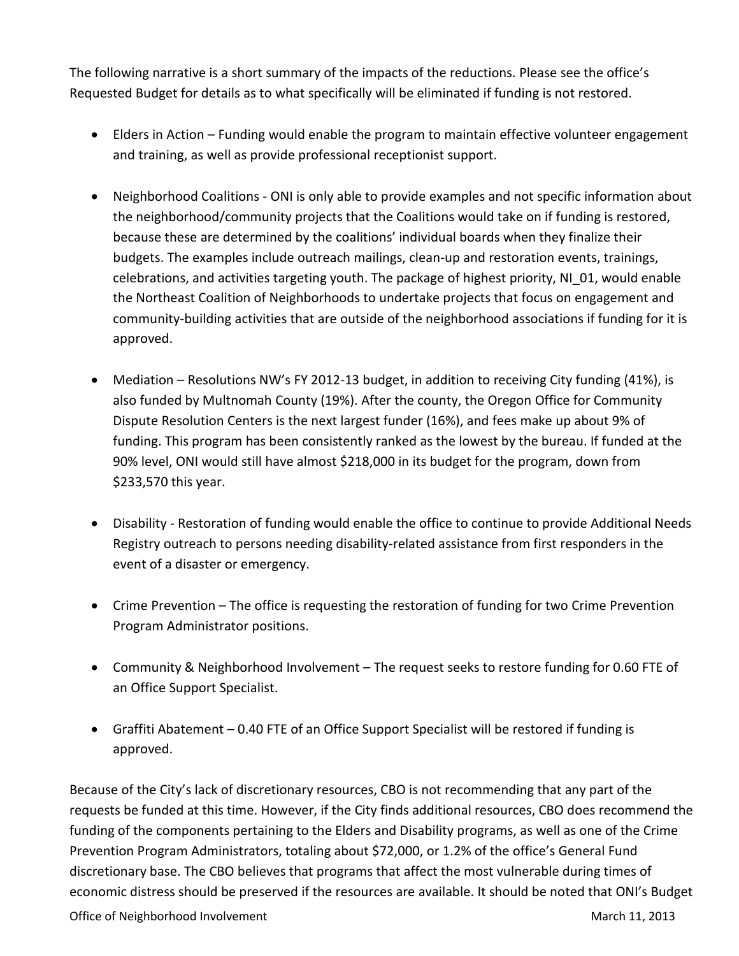The following narrative is a short summary of the impacts of the reductions. Please see the office's Requested Budget for details as to what specifically will be eliminated if funding is not restored.

- Elders in Action Funding would enable the program to maintain effective volunteer engagement and training, as well as provide professional receptionist support.
- Neighborhood Coalitions ONI is only able to provide examples and not specific information about the neighborhood/community projects that the Coalitions would take on if funding is restored, because these are determined by the coalitions' individual boards when they finalize their budgets. The examples include outreach mailings, clean-up and restoration events, trainings, celebrations, and activities targeting youth. The package of highest priority, NI\_01, would enable the Northeast Coalition of Neighborhoods to undertake projects that focus on engagement and community-building activities that are outside of the neighborhood associations if funding for it is approved.
- Mediation Resolutions NW's FY 2012-13 budget, in addition to receiving City funding (41%), is also funded by Multnomah County (19%). After the county, the Oregon Office for Community Dispute Resolution Centers is the next largest funder (16%), and fees make up about 9% of funding. This program has been consistently ranked as the lowest by the bureau. If funded at the 90% level, ONI would still have almost \$218,000 in its budget for the program, down from \$233,570 this year.
- Disability Restoration of funding would enable the office to continue to provide Additional Needs Registry outreach to persons needing disability-related assistance from first responders in the event of a disaster or emergency.
- Crime Prevention The office is requesting the restoration of funding for two Crime Prevention Program Administrator positions.
- Community & Neighborhood Involvement The request seeks to restore funding for 0.60 FTE of an Office Support Specialist.
- Graffiti Abatement 0.40 FTE of an Office Support Specialist will be restored if funding is approved.

Because of the City's lack of discretionary resources, CBO is not recommending that any part of the requests be funded at this time. However, if the City finds additional resources, CBO does recommend the funding of the components pertaining to the Elders and Disability programs, as well as one of the Crime Prevention Program Administrators, totaling about \$72,000, or 1.2% of the office's General Fund discretionary base. The CBO believes that programs that affect the most vulnerable during times of economic distress should be preserved if the resources are available. It should be noted that ONI's Budget

Office of Neighborhood Involvement 3 of 7 3 and March 11, 2013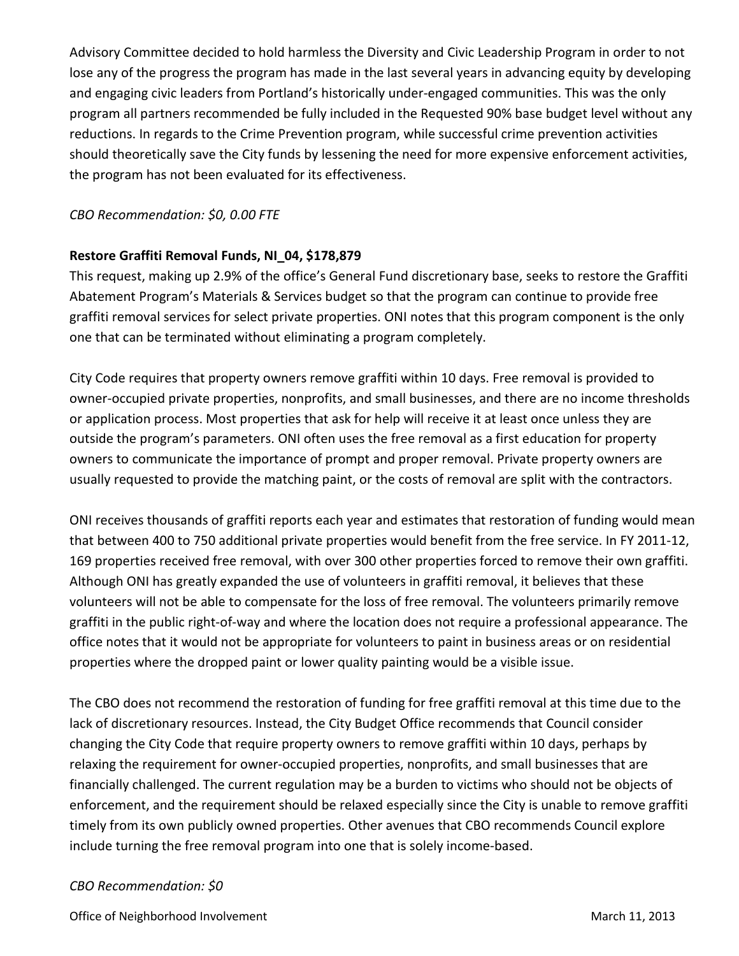Advisory Committee decided to hold harmless the Diversity and Civic Leadership Program in order to not lose any of the progress the program has made in the last several years in advancing equity by developing and engaging civic leaders from Portland's historically under-engaged communities. This was the only program all partners recommended be fully included in the Requested 90% base budget level without any reductions. In regards to the Crime Prevention program, while successful crime prevention activities should theoretically save the City funds by lessening the need for more expensive enforcement activities, the program has not been evaluated for its effectiveness.

### *CBO Recommendation: \$0, 0.00 FTE*

#### **Restore Graffiti Removal Funds, NI\_04, \$178,879**

This request, making up 2.9% of the office's General Fund discretionary base, seeks to restore the Graffiti Abatement Program's Materials & Services budget so that the program can continue to provide free graffiti removal services for select private properties. ONI notes that this program component is the only one that can be terminated without eliminating a program completely.

City Code requires that property owners remove graffiti within 10 days. Free removal is provided to owner-occupied private properties, nonprofits, and small businesses, and there are no income thresholds or application process. Most properties that ask for help will receive it at least once unless they are outside the program's parameters. ONI often uses the free removal as a first education for property owners to communicate the importance of prompt and proper removal. Private property owners are usually requested to provide the matching paint, or the costs of removal are split with the contractors.

ONI receives thousands of graffiti reports each year and estimates that restoration of funding would mean that between 400 to 750 additional private properties would benefit from the free service. In FY 2011-12, 169 properties received free removal, with over 300 other properties forced to remove their own graffiti. Although ONI has greatly expanded the use of volunteers in graffiti removal, it believes that these volunteers will not be able to compensate for the loss of free removal. The volunteers primarily remove graffiti in the public right-of-way and where the location does not require a professional appearance. The office notes that it would not be appropriate for volunteers to paint in business areas or on residential properties where the dropped paint or lower quality painting would be a visible issue.

The CBO does not recommend the restoration of funding for free graffiti removal at this time due to the lack of discretionary resources. Instead, the City Budget Office recommends that Council consider changing the City Code that require property owners to remove graffiti within 10 days, perhaps by relaxing the requirement for owner-occupied properties, nonprofits, and small businesses that are financially challenged. The current regulation may be a burden to victims who should not be objects of enforcement, and the requirement should be relaxed especially since the City is unable to remove graffiti timely from its own publicly owned properties. Other avenues that CBO recommends Council explore include turning the free removal program into one that is solely income-based.

#### *CBO Recommendation: \$0*

Office of Neighborhood Involvement 4 of 7 Apr 2013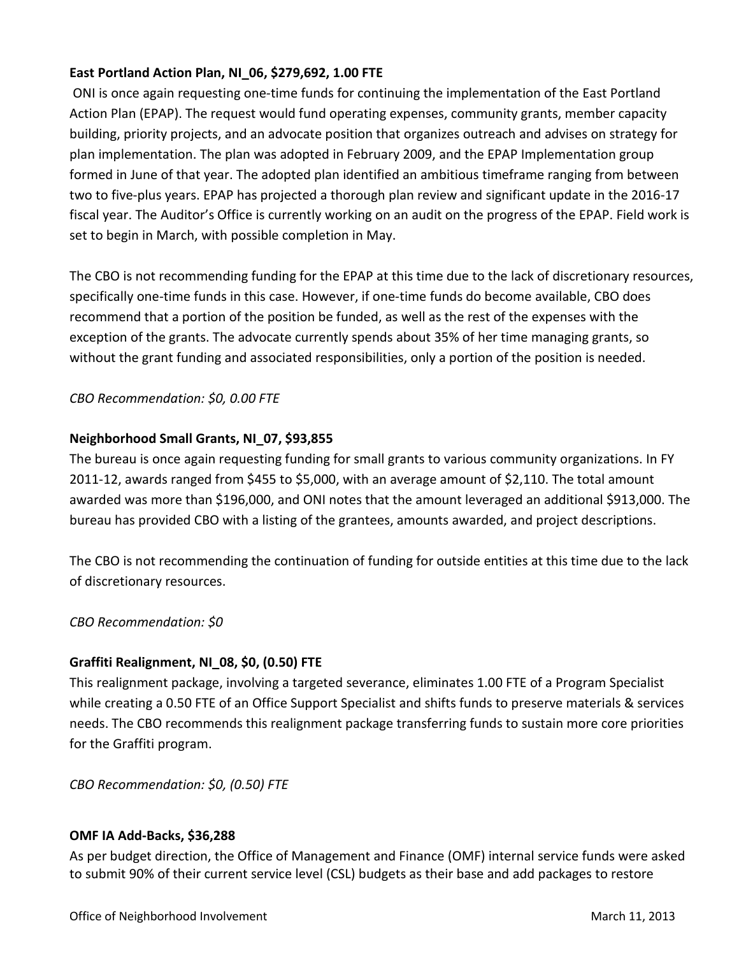# **East Portland Action Plan, NI\_06, \$279,692, 1.00 FTE**

ONI is once again requesting one-time funds for continuing the implementation of the East Portland Action Plan (EPAP). The request would fund operating expenses, community grants, member capacity building, priority projects, and an advocate position that organizes outreach and advises on strategy for plan implementation. The plan was adopted in February 2009, and the EPAP Implementation group formed in June of that year. The adopted plan identified an ambitious timeframe ranging from between two to five-plus years. EPAP has projected a thorough plan review and significant update in the 2016-17 fiscal year. The Auditor's Office is currently working on an audit on the progress of the EPAP. Field work is set to begin in March, with possible completion in May.

The CBO is not recommending funding for the EPAP at this time due to the lack of discretionary resources, specifically one-time funds in this case. However, if one-time funds do become available, CBO does recommend that a portion of the position be funded, as well as the rest of the expenses with the exception of the grants. The advocate currently spends about 35% of her time managing grants, so without the grant funding and associated responsibilities, only a portion of the position is needed.

*CBO Recommendation: \$0, 0.00 FTE*

# **Neighborhood Small Grants, NI\_07, \$93,855**

The bureau is once again requesting funding for small grants to various community organizations. In FY 2011-12, awards ranged from \$455 to \$5,000, with an average amount of \$2,110. The total amount awarded was more than \$196,000, and ONI notes that the amount leveraged an additional \$913,000. The bureau has provided CBO with a listing of the grantees, amounts awarded, and project descriptions.

The CBO is not recommending the continuation of funding for outside entities at this time due to the lack of discretionary resources.

*CBO Recommendation: \$0*

# **Graffiti Realignment, NI\_08, \$0, (0.50) FTE**

This realignment package, involving a targeted severance, eliminates 1.00 FTE of a Program Specialist while creating a 0.50 FTE of an Office Support Specialist and shifts funds to preserve materials & services needs. The CBO recommends this realignment package transferring funds to sustain more core priorities for the Graffiti program.

*CBO Recommendation: \$0, (0.50) FTE*

# **OMF IA Add-Backs, \$36,288**

As per budget direction, the Office of Management and Finance (OMF) internal service funds were asked to submit 90% of their current service level (CSL) budgets as their base and add packages to restore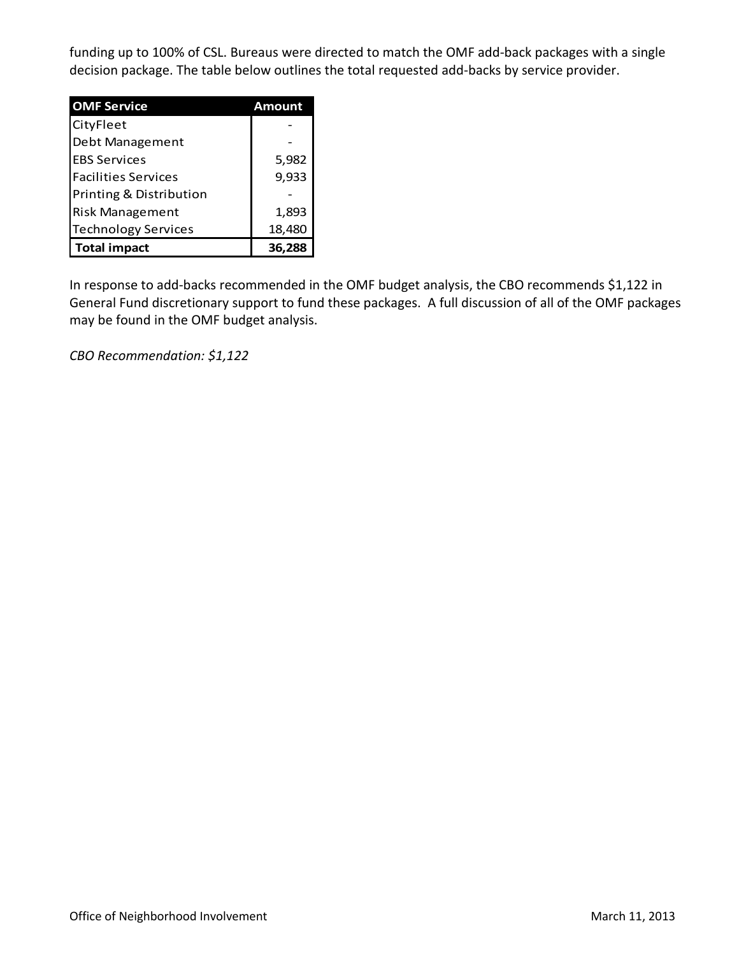funding up to 100% of CSL. Bureaus were directed to match the OMF add-back packages with a single decision package. The table below outlines the total requested add-backs by service provider.

| <b>OMF Service</b>         | Amount |  |  |
|----------------------------|--------|--|--|
| CityFleet                  |        |  |  |
| Debt Management            |        |  |  |
| <b>EBS Services</b>        | 5,982  |  |  |
| <b>Facilities Services</b> | 9,933  |  |  |
| Printing & Distribution    |        |  |  |
| <b>Risk Management</b>     | 1,893  |  |  |
| <b>Technology Services</b> | 18,480 |  |  |
| <b>Total impact</b>        | 36.288 |  |  |

In response to add-backs recommended in the OMF budget analysis, the CBO recommends \$1,122 in General Fund discretionary support to fund these packages. A full discussion of all of the OMF packages may be found in the OMF budget analysis.

*CBO Recommendation: \$1,122*